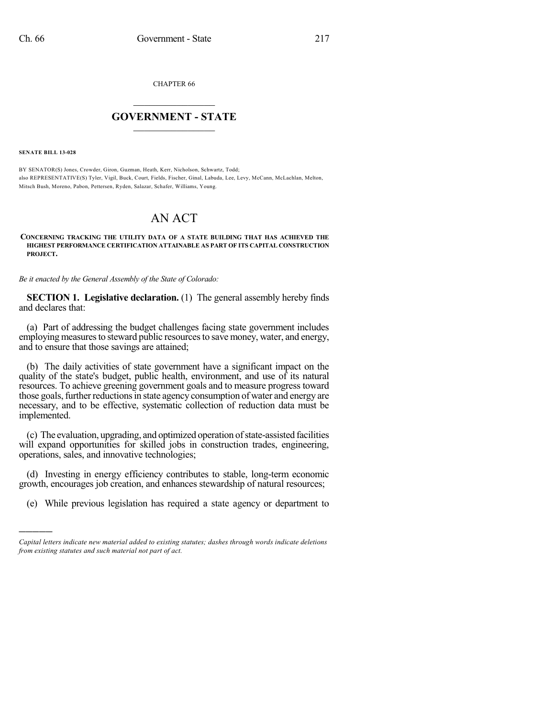CHAPTER 66

## $\mathcal{L}_\text{max}$  . The set of the set of the set of the set of the set of the set of the set of the set of the set of the set of the set of the set of the set of the set of the set of the set of the set of the set of the set **GOVERNMENT - STATE**  $\_$   $\_$   $\_$   $\_$   $\_$   $\_$   $\_$   $\_$

**SENATE BILL 13-028**

)))))

BY SENATOR(S) Jones, Crowder, Giron, Guzman, Heath, Kerr, Nicholson, Schwartz, Todd; also REPRESENTATIVE(S) Tyler, Vigil, Buck, Court, Fields, Fischer, Ginal, Labuda, Lee, Levy, McCann, McLachlan, Melton, Mitsch Bush, Moreno, Pabon, Pettersen, Ryden, Salazar, Schafer, Williams, Young.

## AN ACT

## **CONCERNING TRACKING THE UTILITY DATA OF A STATE BUILDING THAT HAS ACHIEVED THE HIGHEST PERFORMANCE CERTIFICATION ATTAINABLE AS PART OF ITS CAPITAL CONSTRUCTION PROJECT.**

*Be it enacted by the General Assembly of the State of Colorado:*

**SECTION 1. Legislative declaration.** (1) The general assembly hereby finds and declares that:

(a) Part of addressing the budget challenges facing state government includes employing measures to steward public resources to save money, water, and energy, and to ensure that those savings are attained;

(b) The daily activities of state government have a significant impact on the quality of the state's budget, public health, environment, and use of its natural resources. To achieve greening government goals and to measure progress toward those goals, further reductions in state agency consumption of water and energy are necessary, and to be effective, systematic collection of reduction data must be implemented.

(c) The evaluation, upgrading, and optimized operation ofstate-assisted facilities will expand opportunities for skilled jobs in construction trades, engineering, operations, sales, and innovative technologies;

(d) Investing in energy efficiency contributes to stable, long-term economic growth, encourages job creation, and enhances stewardship of natural resources;

(e) While previous legislation has required a state agency or department to

*Capital letters indicate new material added to existing statutes; dashes through words indicate deletions from existing statutes and such material not part of act.*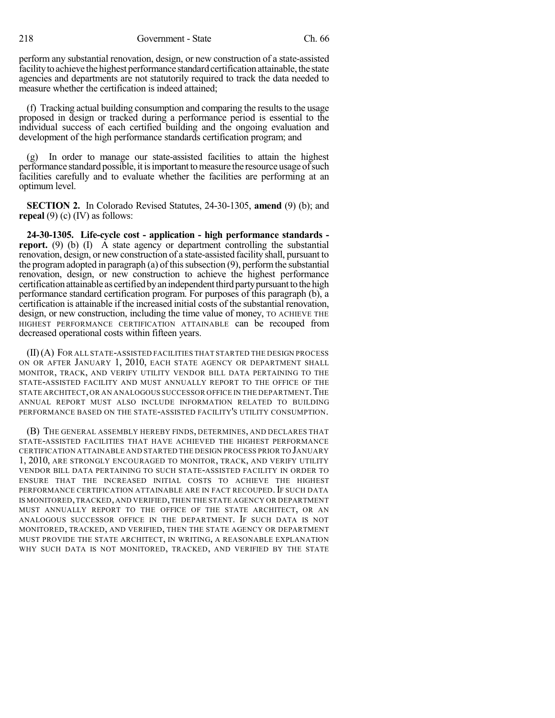218 Government - State Ch. 66

perform any substantial renovation, design, or new construction of a state-assisted facility to achieve the highest performance standard certification attainable, the state agencies and departments are not statutorily required to track the data needed to measure whether the certification is indeed attained;

(f) Tracking actual building consumption and comparing the results to the usage proposed in design or tracked during a performance period is essential to the individual success of each certified building and the ongoing evaluation and development of the high performance standards certification program; and

(g) In order to manage our state-assisted facilities to attain the highest performance standard possible, itisimportanttomeasure the resource usage ofsuch facilities carefully and to evaluate whether the facilities are performing at an optimum level.

**SECTION 2.** In Colorado Revised Statutes, 24-30-1305, **amend** (9) (b); and **repeal** (9) (c) (IV) as follows:

**24-30-1305. Life-cycle cost - application - high performance standards report.** (9) (b) (I) A state agency or department controlling the substantial renovation, design, or new construction of a state-assisted facility shall, pursuant to the program adopted in paragraph (a) of this subsection  $(9)$ , perform the substantial renovation, design, or new construction to achieve the highest performance certification attainable as certified by an independent third party pursuant to the high performance standard certification program. For purposes of this paragraph (b), a certification is attainable if the increased initial costs of the substantial renovation, design, or new construction, including the time value of money, TO ACHIEVE THE HIGHEST PERFORMANCE CERTIFICATION ATTAINABLE can be recouped from decreased operational costs within fifteen years.

(II)(A) FOR ALL STATE-ASSISTED FACILITIES THAT STARTED THE DESIGN PROCESS ON OR AFTER JANUARY 1, 2010, EACH STATE AGENCY OR DEPARTMENT SHALL MONITOR, TRACK, AND VERIFY UTILITY VENDOR BILL DATA PERTAINING TO THE STATE-ASSISTED FACILITY AND MUST ANNUALLY REPORT TO THE OFFICE OF THE STATE ARCHITECT, OR AN ANALOGOUS SUCCESSOR OFFICE IN THE DEPARTMENT. THE ANNUAL REPORT MUST ALSO INCLUDE INFORMATION RELATED TO BUILDING PERFORMANCE BASED ON THE STATE-ASSISTED FACILITY'S UTILITY CONSUMPTION.

(B) THE GENERAL ASSEMBLY HEREBY FINDS, DETERMINES, AND DECLARES THAT STATE-ASSISTED FACILITIES THAT HAVE ACHIEVED THE HIGHEST PERFORMANCE CERTIFICATION ATTAINABLE AND STARTED THE DESIGN PROCESS PRIOR TO JANUARY 1, 2010, ARE STRONGLY ENCOURAGED TO MONITOR, TRACK, AND VERIFY UTILITY VENDOR BILL DATA PERTAINING TO SUCH STATE-ASSISTED FACILITY IN ORDER TO ENSURE THAT THE INCREASED INITIAL COSTS TO ACHIEVE THE HIGHEST PERFORMANCE CERTIFICATION ATTAINABLE ARE IN FACT RECOUPED. IF SUCH DATA IS MONITORED,TRACKED, AND VERIFIED,THEN THE STATE AGENCY OR DEPARTMENT MUST ANNUALLY REPORT TO THE OFFICE OF THE STATE ARCHITECT, OR AN ANALOGOUS SUCCESSOR OFFICE IN THE DEPARTMENT. IF SUCH DATA IS NOT MONITORED, TRACKED, AND VERIFIED, THEN THE STATE AGENCY OR DEPARTMENT MUST PROVIDE THE STATE ARCHITECT, IN WRITING, A REASONABLE EXPLANATION WHY SUCH DATA IS NOT MONITORED, TRACKED, AND VERIFIED BY THE STATE